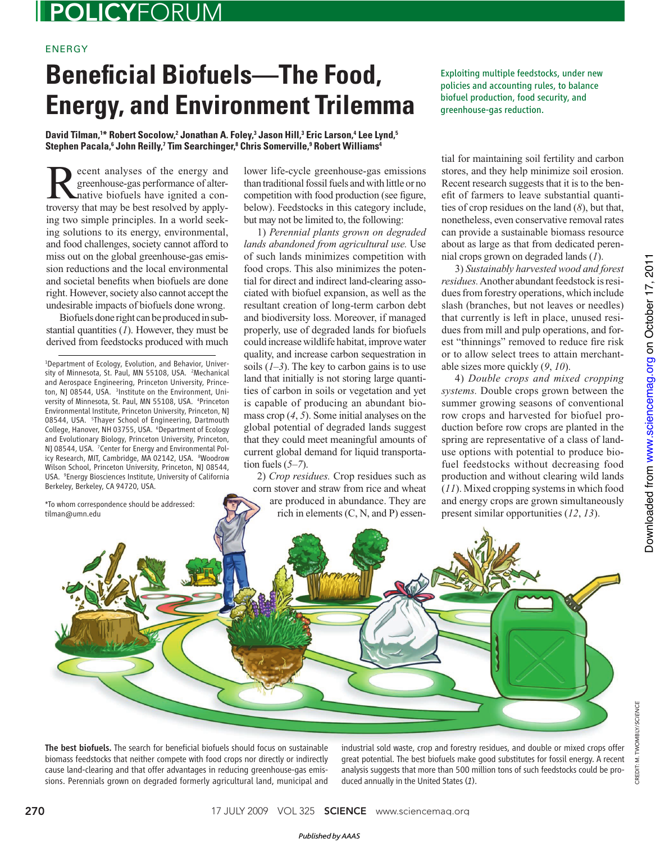## POLICYFORUM

## ENERGY

## **Beneficial Biofuels—The Food, Energy, and Environment Trilemma**

David Tilman,<sup>1\*</sup> Robert Socolow,<sup>2</sup> Jonathan A. Foley,<sup>3</sup> Jason Hill,<sup>3</sup> Eric Larson,<sup>4</sup> Lee Lynd,<sup>5</sup>  $\boldsymbol{\mathsf{Stephen \text{ } Pa}$ cala, $\boldsymbol{\mathsf{^6}}$  John Reilly, $\boldsymbol{\mathsf{^7}}$ Tim Searchinger, $\boldsymbol{\mathsf{^8}}$ Chris Somerville, $\boldsymbol{\mathsf{^9}}$ Robert Williams $\boldsymbol{\mathsf{^4}}$ 

**Recent analyses of the energy and greenhouse-gas performance of alter-**<br>native biofuels have ignited a con-<br>troversy that may be best resolved by annivgreenhouse-gas performance of altertroversy that may be best resolved by applying two simple principles. In a world seeking solutions to its energy, environmental, and food challenges, society cannot afford to miss out on the global greenhouse-gas emission reductions and the local environmental and societal benefits when biofuels are done right. However, society also cannot accept the undesirable impacts of biofuels done wrong.

Biofuels done right can be produced in substantial quantities  $(1)$ . However, they must be derived from feedstocks produced with much

1 Department of Ecology, Evolution, and Behavior, University of Minnesota, St. Paul, MN 55108, USA. <sup>2</sup>Mechanical and Aerospace Engineering, Princeton University, Princeton, NJ 08544, USA. <sup>3</sup>Institute on the Environment, University of Minnesota, St. Paul, MN 55108, USA. <sup>4</sup>Princeton Environmental Institute, Princeton University, Princeton, NJ 08544, USA. <sup>5</sup>Thayer School of Engineering, Dartmouth College, Hanover, NH 03755, USA. <sup>6</sup>Department of Ecology and Evolutionary Biology, Princeton University, Princeton, NJ 08544, USA. <sup>7</sup> Center for Energy and Environmental Policy Research, MIT, Cambridge, MA 02142, USA. <sup>8</sup>Woodrow Wilson School, Princeton University, Princeton, NJ 08544, USA. <sup>9</sup> Energy Biosciences Institute, University of California Berkeley, Berkeley, CA 94720, USA.

\*To whom correspondence should be addressed: tilman@umn.edu

lower life-cycle greenhouse-gas emissions than traditional fossil fuels and with little or no competition with food production (see figure, below). Feedstocks in this category include, but may not be limited to, the following:

1) *Perennial plants grown on degraded lands abandoned from agricultural use.* Use of such lands minimizes competition with food crops. This also minimizes the potential for direct and indirect land-clearing associated with biofuel expansion, as well as the resultant creation of long-term carbon debt and biodiversity loss. Moreover, if managed properly, use of degraded lands for biofuels could increase wildlife habitat, improve water quality, and increase carbon sequestration in soils  $(I-3)$ . The key to carbon gains is to use land that initially is not storing large quantities of carbon in soils or vegetation and yet is capable of producing an abundant biomass crop  $(4, 5)$ . Some initial analyses on the global potential of degraded lands suggest that they could meet meaningful amounts of current global demand for liquid transportation fuels  $(5-7)$ .

2) *Crop residues.* Crop residues such as corn stover and straw from rice and wheat are produced in abundance. They are rich in elements (C, N, and P) essenExploiting multiple feedstocks, under new policies and accounting rules, to balance biofuel production, food security, and greenhouse-gas reduction.

tial for maintaining soil fertility and carbon stores, and they help minimize soil erosion. Recent research suggests that it is to the benefit of farmers to leave substantial quantities of crop residues on the land  $(8)$ , but that, nonetheless, even conservative removal rates can provide a sustainable biomass resource about as large as that from dedicated perennial crops grown on degraded lands ( *1*).

3) *Sustainably harvested wood and forest residues.* Another abundant feedstock is residues from forestry operations, which include slash (branches, but not leaves or needles) that currently is left in place, unused residues from mill and pulp operations, and forest "thinnings" removed to reduce fire risk or to allow select trees to attain merchantable sizes more quickly  $(9, 10)$ .

4) *Double crops and mixed cropping systems.* Double crops grown between the summer growing seasons of conventional row crops and harvested for biofuel production before row crops are planted in the spring are representative of a class of landuse options with potential to produce biofuel feedstocks without decreasing food production and without clearing wild lands ( *11*). Mixed cropping systems in which food and energy crops are grown simultaneously present similar opportunities ( *12*, *13*).

CREDIT: M. TWOMBLY/SCIENCE

CREDIT: M. TWOMBLY/SCIENCE



The best biofuels. The search for beneficial biofuels should focus on sustainable biomass feedstocks that neither compete with food crops nor directly or indirectly cause land-clearing and that offer advantages in reducing greenhouse-gas emissions. Perennials grown on degraded formerly agricultural land, municipal and

industrial sold waste, crop and forestry residues, and double or mixed crops offer great potential. The best biofuels make good substitutes for fossil energy. A recent analysis suggests that more than 500 million tons of such feedstocks could be produced annually in the United States (*1*).